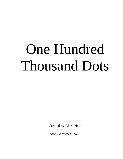## One Hundred Thousand Dots

Created by Clark Ness

www.clarkness.com